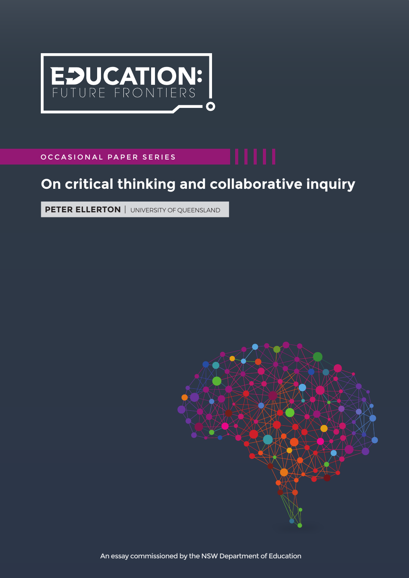

OCCASIONAL PAPER SERIES

# **On critical thinking and collaborative inquiry**

**PETER ELLERTON** | UNIVERSITY OF QUEENSLAND



An essay commissioned by the NSW Department of Education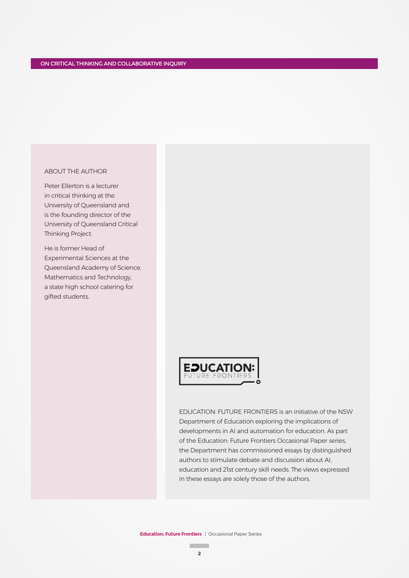### ABOUT THE AUTHOR

Peter Ellerton is a lecturer in critical thinking at the University of Queensland and is the founding director of the University of Queensland Critical Thinking Project.

He is former Head of Experimental Sciences at the Queensland Academy of Science, Mathematics and Technology, a state high school catering for gifted students.



EDUCATION: FUTURE FRONTIERS is an initiative of the NSW Department of Education exploring the implications of developments in AI and automation for education. As part of the Education: Future Frontiers Occasional Paper series, the Department has commissioned essays by distinguished authors to stimulate debate and discussion about AI, education and 21st century skill needs. The views expressed in these essays are solely those of the authors.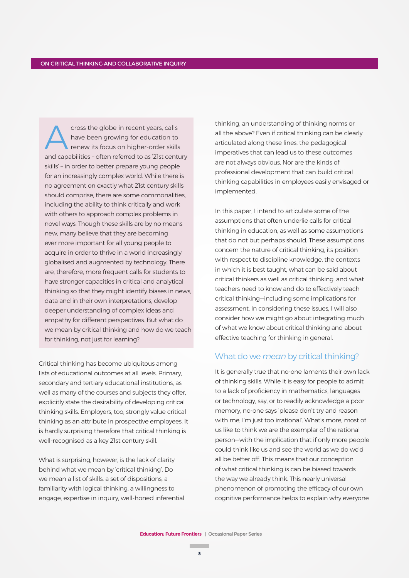cross the globe in recent years, calls have been growing for education to renew its focus on higher-order skills and capabilities – often referred to as '21st century skills' – in order to better prepare young people for an increasingly complex world. While there is no agreement on exactly what 21st century skills should comprise, there are some commonalities, including the ability to think critically and work with others to approach complex problems in novel ways. Though these skills are by no means new, many believe that they are becoming ever more important for all young people to acquire in order to thrive in a world increasingly globalised and augmented by technology. There are, therefore, more frequent calls for students to have stronger capacities in critical and analytical thinking so that they might identify biases in news, data and in their own interpretations, develop deeper understanding of complex ideas and empathy for different perspectives. But what do we mean by critical thinking and how do we teach for thinking, not just for learning?

Critical thinking has become ubiquitous among lists of educational outcomes at all levels. Primary, secondary and tertiary educational institutions, as well as many of the courses and subjects they offer, explicitly state the desirability of developing critical thinking skills. Employers, too, strongly value critical thinking as an attribute in prospective employees. It is hardly surprising therefore that critical thinking is well-recognised as a key 21st century skill.

What is surprising, however, is the lack of clarity behind what we mean by 'critical thinking'. Do we mean a list of skills, a set of dispositions, a familiarity with logical thinking, a willingness to engage, expertise in inquiry, well-honed inferential

thinking, an understanding of thinking norms or all the above? Even if critical thinking can be clearly articulated along these lines, the pedagogical imperatives that can lead us to these outcomes are not always obvious. Nor are the kinds of professional development that can build critical thinking capabilities in employees easily envisaged or implemented.

In this paper, I intend to articulate some of the assumptions that often underlie calls for critical thinking in education, as well as some assumptions that do not but perhaps should. These assumptions concern the nature of critical thinking, its position with respect to discipline knowledge, the contexts in which it is best taught, what can be said about critical thinkers as well as critical thinking, and what teachers need to know and do to effectively teach critical thinking—including some implications for assessment. In considering these issues, I will also consider how we might go about integrating much of what we know about critical thinking and about effective teaching for thinking in general.

## What do we *mean* by critical thinking?

It is generally true that no-one laments their own lack of thinking skills. While it is easy for people to admit to a lack of proficiency in mathematics, languages or technology, say, or to readily acknowledge a poor memory, no-one says 'please don't try and reason with me, I'm just too irrational'. What's more, most of us like to think we are the exemplar of the rational person—with the implication that if only more people could think like us and see the world as we do we'd all be better off. This means that our conception of what critical thinking is can be biased towards the way we already think. This nearly universal phenomenon of promoting the efficacy of our own cognitive performance helps to explain why everyone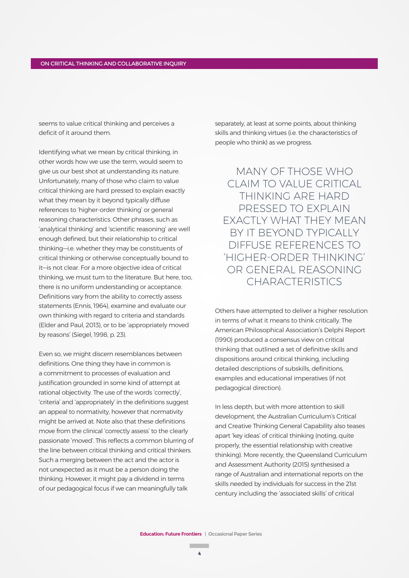seems to value critical thinking and perceives a deficit of it around them.

Identifying what we mean by critical thinking, in other words how we use the term, would seem to give us our best shot at understanding its nature. Unfortunately, many of those who claim to value critical thinking are hard pressed to explain exactly what they mean by it beyond typically diffuse references to 'higher-order thinking' or general reasoning characteristics. Other phrases, such as 'analytical thinking' and 'scientific reasoning' are well enough defined, but their relationship to critical thinking—i.e. whether they may be constituents of critical thinking or otherwise conceptually bound to it—is not clear. For a more objective idea of critical thinking, we must turn to the literature. But here, too, there is no uniform understanding or acceptance. Definitions vary from the ability to correctly assess statements (Ennis, 1964), examine and evaluate our own thinking with regard to criteria and standards (Elder and Paul, 2013), or to be 'appropriately moved by reasons' (Siegel, 1998, p. 23).

Even so, we might discern resemblances between definitions. One thing they have in common is a commitment to processes of evaluation and justification grounded in some kind of attempt at rational objectivity. The use of the words 'correctly', 'criteria' and 'appropriately' in the definitions suggest an appeal to normativity, however that normativity might be arrived at. Note also that these definitions move from the clinical 'correctly assess' to the clearly passionate 'moved'. This reflects a common blurring of the line between critical thinking and critical thinkers. Such a merging between the act and the actor is not unexpected as it must be a person doing the thinking. However, it might pay a dividend in terms of our pedagogical focus if we can meaningfully talk

separately, at least at some points, about thinking skills and thinking virtues (i.e. the characteristics of people who think) as we progress.

MANY OF THOSE WHO CLAIM TO VALUE CRITICAL THINKING ARE HARD PRESSED TO EXPLAIN EXACTLY WHAT THEY MEAN BY IT BEYOND TYPICALLY DIFFUSE REFERENCES TO 'HIGHER-ORDER THINKING' OR GENERAL REASONING CHARACTERISTICS

Others have attempted to deliver a higher resolution in terms of what it means to think critically. The American Philosophical Association's Delphi Report (1990) produced a consensus view on critical thinking that outlined a set of definitive skills and dispositions around critical thinking, including detailed descriptions of subskills, definitions, examples and educational imperatives (if not pedagogical direction).

In less depth, but with more attention to skill development, the Australian Curriculum's Critical and Creative Thinking General Capability also teases apart 'key ideas' of critical thinking (noting, quite properly, the essential relationship with creative thinking). More recently, the Queensland Curriculum and Assessment Authority (2015) synthesised a range of Australian and international reports on the skills needed by individuals for success in the 21st century including the 'associated skills' of critical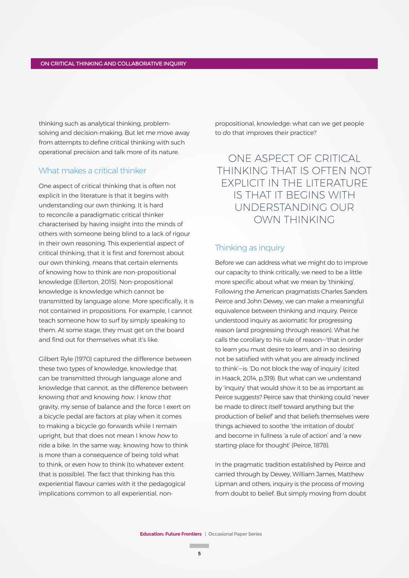thinking such as analytical thinking, problemsolving and decision-making. But let me move away from attempts to define critical thinking with such operational precision and talk more of its nature.

# What makes a critical thinker

One aspect of critical thinking that is often not explicit in the literature is that it begins with understanding our own thinking. It is hard to reconcile a paradigmatic critical thinker characterised by having insight into the minds of others with someone being blind to a lack of rigour in their own reasoning. This experiential aspect of critical thinking, that it is first and foremost about our own thinking, means that certain elements of knowing how to think are non-propositional knowledge (Ellerton, 2015). Non-propositional knowledge is knowledge which cannot be transmitted by language alone. More specifically, it is not contained in propositions. For example, I cannot teach someone how to surf by simply speaking to them. At some stage, they must get on the board and find out for themselves what it's like.

Gilbert Ryle (1970) captured the difference between these two types of knowledge, knowledge that can be transmitted through language alone and knowledge that cannot, as the difference between knowing *that* and knowing *how*. I know *that* gravity, my sense of balance and the force I exert on a bicycle pedal are factors at play when it comes to making a bicycle go forwards while I remain upright, but that does not mean I know *how* to ride a bike. In the same way, knowing how to think is more than a consequence of being told what to think, or even how to think (to whatever extent that is possible). The fact that thinking has this experiential flavour carries with it the pedagogical implications common to all experiential, nonpropositional, knowledge: what can we get people to *do* that improves their practice?

ONE ASPECT OF CRITICAL THINKING THAT IS OFTEN NOT EXPLICIT IN THE LITERATURE IS THAT IT BEGINS WITH UNDERSTANDING OUR OWN THINKING

## Thinking as inquiry

Before we can address what we might do to improve our capacity to think critically, we need to be a little more specific about what we mean by 'thinking'. Following the American pragmatists Charles Sanders Peirce and John Dewey, we can make a meaningful equivalence between thinking and inquiry. Peirce understood inquiry as axiomatic for progressing reason (and progressing through reason). What he calls the corollary to his rule of reason—'that in order to learn you must desire to learn, and in so desiring not be satisfied with what you are already inclined to think'—is: 'Do not block the way of inquiry' (cited in Haack, 2014, p.319). But what can we understand by 'inquiry' that would show it to be as important as Peirce suggests? Peirce saw that thinking could 'never be made to direct itself toward anything but the production of belief' and that beliefs themselves were things achieved to soothe 'the irritation of doubt' and become in fullness 'a rule of action' and 'a new starting-place for thought' (Peirce, 1878).

In the pragmatic tradition established by Peirce and carried through by Dewey, William James, Matthew Lipman and others, inquiry is the process of moving from doubt to belief. But simply moving from doubt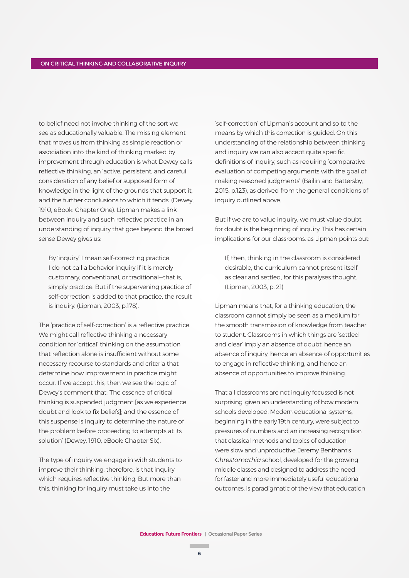to belief need not involve thinking of the sort we see as educationally valuable. The missing element that moves us from thinking as simple reaction or association into the kind of thinking marked by improvement through education is what Dewey calls reflective thinking, an 'active, persistent, and careful consideration of any belief or supposed form of knowledge in the light of the grounds that support it, and the further conclusions to which it tends' (Dewey, 1910, eBook: Chapter One). Lipman makes a link between inquiry and such reflective practice in an understanding of inquiry that goes beyond the broad sense Dewey gives us:

By 'inquiry' I mean self-correcting practice. I do not call a behavior inquiry if it is merely customary, conventional, or traditional—that is, simply practice. But if the supervening practice of self-correction is added to that practice, the result is inquiry. (Lipman, 2003, p.178).

The 'practice of self-correction' is a reflective practice. We might call reflective thinking a necessary condition for 'critical' thinking on the assumption that reflection alone is insufficient without some necessary recourse to standards and criteria that determine how improvement in practice might occur. If we accept this, then we see the logic of Dewey's comment that: 'The essence of critical thinking is suspended judgment [as we experience doubt and look to fix beliefs]; and the essence of this suspense is inquiry to determine the nature of the problem before proceeding to attempts at its solution' (Dewey, 1910, eBook: Chapter Six).

The type of inquiry we engage in with students to improve their thinking, therefore, is that inquiry which requires reflective thinking. But more than this, thinking for inquiry must take us into the

'self-correction' of Lipman's account and so to the means by which this correction is guided. On this understanding of the relationship between thinking and inquiry we can also accept quite specific definitions of inquiry, such as requiring 'comparative evaluation of competing arguments with the goal of making reasoned judgments' (Bailin and Battersby, 2015, p.123), as derived from the general conditions of inquiry outlined above.

But if we are to value inquiry, we must value doubt, for doubt is the beginning of inquiry. This has certain implications for our classrooms, as Lipman points out:

If, then, thinking in the classroom is considered desirable, the curriculum cannot present itself as clear and settled, for this paralyses thought. (Lipman, 2003, p. 21)

Lipman means that, for a thinking education, the classroom cannot simply be seen as a medium for the smooth transmission of knowledge from teacher to student. Classrooms in which things are 'settled and clear' imply an absence of doubt, hence an absence of inquiry, hence an absence of opportunities to engage in reflective thinking, and hence an absence of opportunities to improve thinking.

That all classrooms are not inquiry focussed is not surprising, given an understanding of how modern schools developed. Modern educational systems, beginning in the early 19th century, were subject to pressures of numbers and an increasing recognition that classical methods and topics of education were slow and unproductive. Jeremy Bentham's *Chrestomathia* school, developed for the growing middle classes and designed to address the need for faster and more immediately useful educational outcomes, is paradigmatic of the view that education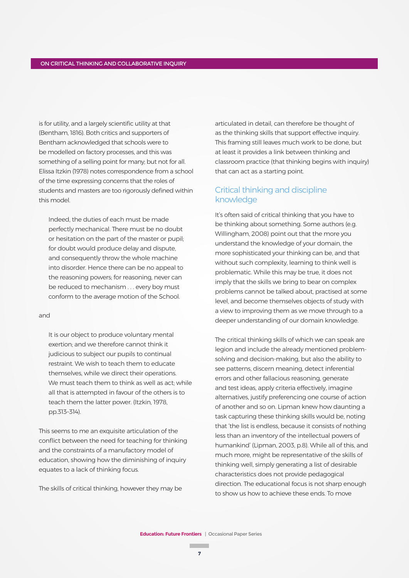is for utility, and a largely scientific utility at that (Bentham, 1816). Both critics and supporters of Bentham acknowledged that schools were to be modelled on factory processes, and this was something of a selling point for many; but not for all. Elissa Itzkin (1978) notes correspondence from a school of the time expressing concerns that the roles of students and masters are too rigorously defined within this model.

Indeed, the duties of each must be made perfectly mechanical. There must be no doubt or hesitation on the part of the master or pupil; for doubt would produce delay and dispute, and consequently throw the whole machine into disorder. Hence there can be no appeal to the reasoning powers; for reasoning, never can be reduced to mechanism . . . every boy must conform to the average motion of the School.

#### and

It is our object to produce voluntary mental exertion; and we therefore cannot think it judicious to subject our pupils to continual restraint. We wish to teach them to educate themselves, while we direct their operations. We must teach them to think as well as act while all that is attempted in favour of the others is to teach them the latter power. (Itzkin, 1978, pp.313–314).

This seems to me an exquisite articulation of the conflict between the need for teaching for thinking and the constraints of a manufactory model of education, showing how the diminishing of inquiry equates to a lack of thinking focus.

The skills of critical thinking, however they may be

articulated in detail, can therefore be thought of as the thinking skills that support effective inquiry. This framing still leaves much work to be done, but at least it provides a link between thinking and classroom practice (that thinking begins with inquiry) that can act as a starting point.

# Critical thinking and discipline knowledge

It's often said of critical thinking that you have to be thinking about something. Some authors (e.g. Willingham, 2008) point out that the more you understand the knowledge of your domain, the more sophisticated your thinking can be, and that without such complexity, learning to think well is problematic. While this may be true, it does not imply that the skills we bring to bear on complex problems cannot be talked about, practised at some level, and become themselves objects of study with a view to improving them as we move through to a deeper understanding of our domain knowledge.

The critical thinking skills of which we can speak are legion and include the already mentioned problemsolving and decision-making, but also the ability to see patterns, discern meaning, detect inferential errors and other fallacious reasoning, generate and test ideas, apply criteria effectively, imagine alternatives, justify preferencing one course of action of another and so on. Lipman knew how daunting a task capturing these thinking skills would be, noting that 'the list is endless, because it consists of nothing less than an inventory of the intellectual powers of humankind' (Lipman, 2003, p.8). While all of this, and much more, might be representative of the skills of thinking well, simply generating a list of desirable characteristics does not provide pedagogical direction. The educational focus is not sharp enough to show us how to achieve these ends. To move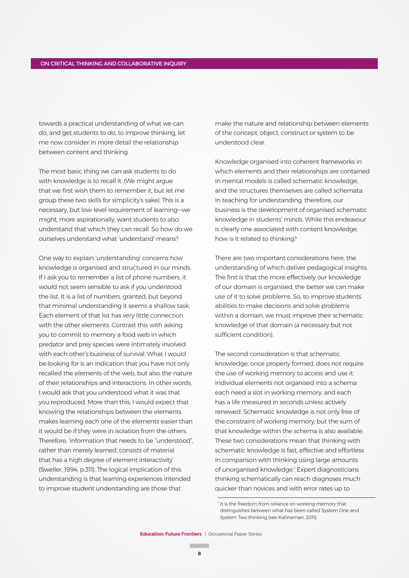towards a practical understanding of what we can do, and get students to do, to improve thinking, let me now consider in more detail the relationship between content and thinking.

The most basic thing we can ask students to do with knowledge is to recall it. (We might argue that we first wish them to remember it, but let me group these two skills for simplicity's sake). This is a necessary, but low-level requirement of learning—we might, more aspirationally, want students to also understand that which they can recall. So how do we ourselves understand what 'understand' means?

One way to explain 'understanding' concerns how knowledge is organised and structured in our minds. If I ask you to remember a list of phone numbers, it would not seem sensible to ask if you understood the list. It is a list of numbers, granted, but beyond that minimal understanding it seems a shallow task. Each element of that list has very little connection with the other elements. Contrast this with asking you to commit to memory a food web in which predator and prey species were intimately involved with each other's business of survival. What I would be looking for is an indication that you have not only recalled the elements of the web, but also the nature of their relationships and interactions. In other words, I would ask that you understood what it was that you reproduced. More than this, I would expect that knowing the relationships between the elements makes learning each one of the elements easier than it would be if they were in isolation from the others. Therefore, 'information that needs to be "understood", rather than merely learned, consists of material that has a high degree of element interactivity' (Sweller, 1994, p.311). The logical implication of this understanding is that learning experiences intended to improve student understanding are those that

make the nature and relationship between elements of the concept, object, construct or system to be understood clear.

Knowledge organised into coherent frameworks in which elements and their relationships are contained in mental models is called schematic knowledge, and the structures themselves are called schemata. In teaching for understanding, therefore, our business is the development of organised schematic knowledge in students' minds. While this endeavour is clearly one associated with content knowledge, how is it related to thinking?

There are two important considerations here, the understanding of which deliver pedagogical insights. The first is that the more effectively our knowledge of our domain is organised, the better we can make use of it to solve problems. So, to improve students' abilities to make decisions and solve problems within a domain, we must improve their schematic knowledge of that domain (a necessary but not sufficient condition).

The second consideration is that schematic knowledge, once properly formed, does not require the use of working memory to access and use it. Individual elements not organised into a schema each need a slot in working memory, and each has a life measured in seconds unless actively renewed. Schematic knowledge is not only free of the constraint of working memory, but the sum of that knowledge within the schema is also available. These two considerations mean that thinking with schematic knowledge is fast, effective and effortless in comparison with thinking using large amounts of unorganised knowledge.<sup>1</sup> Expert diagnosticians thinking schematically can reach diagnoses much quicker than novices and with error rates up to

<sup>&</sup>lt;sup>1</sup> It is the freedom from reliance on working memory that distinguishes between what has been called System One and System Two thinking (see Kahneman, 2011).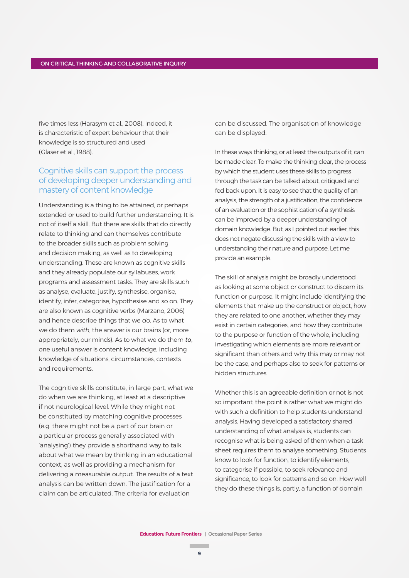five times less (Harasym et al., 2008). Indeed, it is characteristic of expert behaviour that their knowledge is so structured and used (Glaser et al., 1988).

# Cognitive skills can support the process of developing deeper understanding and mastery of content knowledge

Understanding is a thing to be attained, or perhaps extended or used to build further understanding. It is not of itself a skill. But there are skills that do directly relate to thinking and can themselves contribute to the broader skills such as problem solving and decision making, as well as to developing understanding. These are known as cognitive skills and they already populate our syllabuses, work programs and assessment tasks. They are skills such as analyse, evaluate, justify, synthesise, organise, identify, infer, categorise, hypothesise and so on. They are also known as cognitive verbs (Marzano, 2006) and hence describe things that we *do*. As to what we do them *with*, the answer is our brains (or, more appropriately, our minds). As to what we do them *to*, one useful answer is content knowledge, including knowledge of situations, circumstances, contexts and requirements.

The cognitive skills constitute, in large part, what we do when we are thinking, at least at a descriptive if not neurological level. While they might not be constituted by matching cognitive processes (e.g. there might not be a part of our brain or a particular process generally associated with 'analysing') they provide a shorthand way to talk about what we mean by thinking in an educational context, as well as providing a mechanism for delivering a measurable output. The results of a text analysis can be written down. The justification for a claim can be articulated. The criteria for evaluation

can be discussed. The organisation of knowledge can be displayed.

In these ways thinking, or at least the outputs of it, can be made clear. To make the thinking clear, the process by which the student uses these skills to progress through the task can be talked about, critiqued and fed back upon. It is easy to see that the quality of an analysis, the strength of a justification, the confidence of an evaluation or the sophistication of a synthesis can be improved by a deeper understanding of domain knowledge. But, as I pointed out earlier, this does not negate discussing the skills with a view to understanding their nature and purpose. Let me provide an example.

The skill of analysis might be broadly understood as looking at some object or construct to discern its function or purpose. It might include identifying the elements that make up the construct or object, how they are related to one another, whether they may exist in certain categories, and how they contribute to the purpose or function of the whole, including investigating which elements are more relevant or significant than others and why this may or may not be the case, and perhaps also to seek for patterns or hidden structures.

Whether this is an agreeable definition or not is not so important; the point is rather what we might do with such a definition to help students understand analysis. Having developed a satisfactory shared understanding of what analysis is, students can recognise what is being asked of them when a task sheet requires them to analyse something. Students know to look for function, to identify elements, to categorise if possible, to seek relevance and significance, to look for patterns and so on. How well they do these things is, partly, a function of domain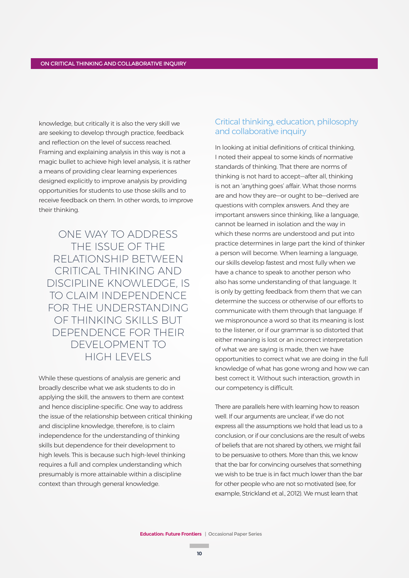knowledge, but critically it is also the very skill we are seeking to develop through practice, feedback and reflection on the level of success reached. Framing and explaining analysis in this way is not a magic bullet to achieve high level analysis, it is rather a means of providing clear learning experiences designed explicitly to improve analysis by providing opportunities for students to use those skills and to receive feedback on them. In other words, to improve their thinking.

ONE WAY TO ADDRESS THE ISSUE OF THE RELATIONSHIP BETWEEN CRITICAL THINKING AND DISCIPLINE KNOWLEDGE, IS TO CLAIM INDEPENDENCE FOR THE UNDERSTANDING OF THINKING SKILLS BUT DEPENDENCE FOR THEIR DEVELOPMENT TO HIGH LEVELS

While these questions of analysis are generic and broadly describe what we ask students to do in applying the skill, the answers to them are context and hence discipline-specific. One way to address the issue of the relationship between critical thinking and discipline knowledge, therefore, is to claim independence for the understanding of thinking skills but dependence for their development to high levels. This is because such high-level thinking requires a full and complex understanding which presumably is more attainable within a discipline context than through general knowledge.

# Critical thinking, education, philosophy and collaborative inquiry

In looking at initial definitions of critical thinking, I noted their appeal to some kinds of normative standards of thinking. That there are norms of thinking is not hard to accept—after all, thinking is not an 'anything goes' affair. What those norms are and how they are—or ought to be—derived are questions with complex answers. And they are important answers since thinking, like a language, cannot be learned in isolation and the way in which these norms are understood and put into practice determines in large part the kind of thinker a person will become. When learning a language, our skills develop fastest and most fully when we have a chance to speak to another person who also has some understanding of that language. It is only by getting feedback from them that we can determine the success or otherwise of our efforts to communicate with them through that language. If we mispronounce a word so that its meaning is lost to the listener, or if our grammar is so distorted that either meaning is lost or an incorrect interpretation of what we are saying is made, then we have opportunities to correct what we are doing in the full knowledge of what has gone wrong and how we can best correct it. Without such interaction, growth in our competency is difficult.

There are parallels here with learning how to reason well. If our arguments are unclear, if we do not express all the assumptions we hold that lead us to a conclusion, or if our conclusions are the result of webs of beliefs that are not shared by others, we might fail to be persuasive to others. More than this, we know that the bar for convincing ourselves that something we wish to be true is in fact much lower than the bar for other people who are not so motivated (see, for example, Strickland et al., 2012). We must learn that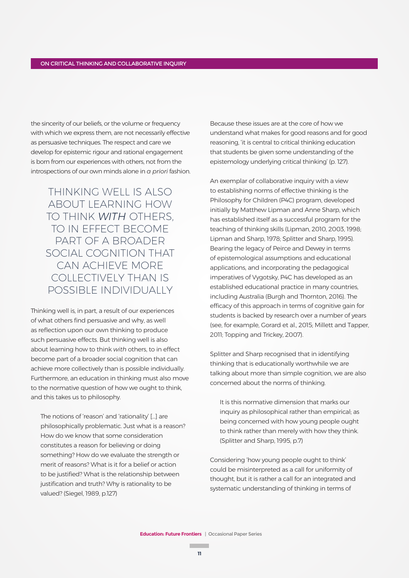the sincerity of our beliefs, or the volume or frequency with which we express them, are not necessarily effective as persuasive techniques. The respect and care we develop for epistemic rigour and rational engagement is born from our experiences with others, not from the introspections of our own minds alone in *a priori* fashion.

THINKING WELL IS ALSO ABOUT LEARNING HOW TO THINK *WITH* OTHERS, TO IN EFFECT BECOME PART OF A BROADER SOCIAL COGNITION THAT CAN ACHIEVE MORE COLLECTIVELY THAN IS POSSIBLE INDIVIDUALLY

Thinking well is, in part, a result of our experiences of what others find persuasive and why, as well as reflection upon our own thinking to produce such persuasive effects. But thinking well is also about learning how to think *with* others, to in effect become part of a broader social cognition that can achieve more collectively than is possible individually. Furthermore, an education in thinking must also move to the normative question of how we ought to think, and this takes us to philosophy.

The notions of 'reason' and 'rationality' […] are philosophically problematic. Just what is a reason? How do we know that some consideration constitutes a reason for believing or doing something? How do we evaluate the strength or merit of reasons? What is it for a belief or action to be justified? What is the relationship between justification and truth? Why is rationality to be valued? (Siegel, 1989, p.127)

Because these issues are at the core of how we understand what makes for good reasons and for good reasoning, 'it is central to critical thinking education that students be given some understanding of the epistemology underlying critical thinking' (p. 127).

An exemplar of collaborative inquiry with a view to establishing norms of effective thinking is the Philosophy for Children (P4C) program, developed initially by Matthew Lipman and Anne Sharp, which has established itself as a successful program for the teaching of thinking skills (Lipman, 2010, 2003, 1998; Lipman and Sharp, 1978; Splitter and Sharp, 1995). Bearing the legacy of Peirce and Dewey in terms of epistemological assumptions and educational applications, and incorporating the pedagogical imperatives of Vygotsky, P4C has developed as an established educational practice in many countries, including Australia (Burgh and Thornton, 2016). The efficacy of this approach in terms of cognitive gain for students is backed by research over a number of years (see, for example, Gorard et al., 2015; Millett and Tapper, 2011; Topping and Trickey, 2007).

Splitter and Sharp recognised that in identifying thinking that is educationally worthwhile we are talking about more than simple cognition, we are also concerned about the norms of thinking.

It is this normative dimension that marks our inquiry as philosophical rather than empirical; as being concerned with how young people ought to think rather than merely with how they think. (Splitter and Sharp, 1995, p.7)

Considering 'how young people ought to think' could be misinterpreted as a call for uniformity of thought, but it is rather a call for an integrated and systematic understanding of thinking in terms of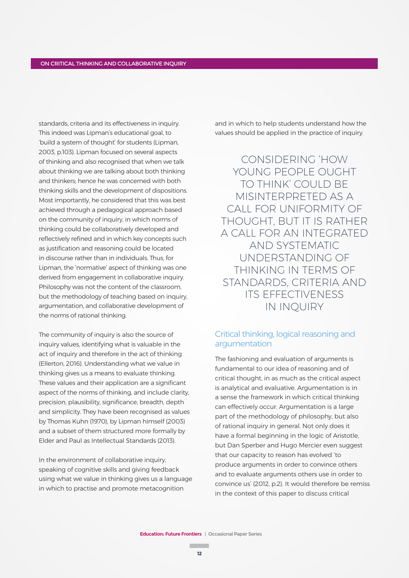standards, criteria and its effectiveness in inquiry. This indeed was Lipman's educational goal, to 'build a system of thought' for students (Lipman, 2003, p.103). Lipman focused on several aspects of thinking and also recognised that when we talk about thinking we are talking about both thinking and thinkers; hence he was concerned with both thinking skills and the development of dispositions. Most importantly, he considered that this was best achieved through a pedagogical approach based on the community of inquiry, in which norms of thinking could be collaboratively developed and reflectively refined and in which key concepts such as justification and reasoning could be located in discourse rather than in individuals. Thus, for Lipman, the 'normative' aspect of thinking was one derived from engagement in collaborative inquiry. Philosophy was not the content of the classroom, but the methodology of teaching based on inquiry, argumentation, and collaborative development of the norms of rational thinking.

The community of inquiry is also the source of inquiry values, identifying what is valuable in the act of inquiry and therefore in the act of thinking (Ellerton, 2016). Understanding what we value in thinking gives us a means to evaluate thinking. These values and their application are a significant aspect of the norms of thinking, and include clarity, precision, plausibility, significance, breadth, depth and simplicity. They have been recognised as values by Thomas Kuhn (1970), by Lipman himself (2003) and a subset of them structured more formally by Elder and Paul as Intellectual Standards (2013).

In the environment of collaborative inquiry, speaking of cognitive skills and giving feedback using what we value in thinking gives us a language in which to practise and promote metacognition

and in which to help students understand how the values should be applied in the practice of inquiry.

CONSIDERING 'HOW YOUNG PEOPLE OUGHT TO THINK' COULD BE MISINTERPRETED AS A CALL FOR UNIFORMITY OF THOUGHT, BUT IT IS RATHER A CALL FOR AN INTEGRATED AND SYSTEMATIC UNDERSTANDING OF THINKING IN TERMS OF STANDARDS, CRITERIA AND ITS EFFECTIVENESS IN INQUIRY

# Critical thinking, logical reasoning and argumentation

The fashioning and evaluation of arguments is fundamental to our idea of reasoning and of critical thought, in as much as the critical aspect is analytical and evaluative. Argumentation is in a sense the framework in which critical thinking can effectively occur. Argumentation is a large part of the methodology of philosophy, but also of rational inquiry in general. Not only does it have a formal beginning in the logic of Aristotle, but Dan Sperber and Hugo Mercier even suggest that our capacity to reason has evolved 'to produce arguments in order to convince others and to evaluate arguments others use in order to convince us' (2012, p.2). It would therefore be remiss in the context of this paper to discuss critical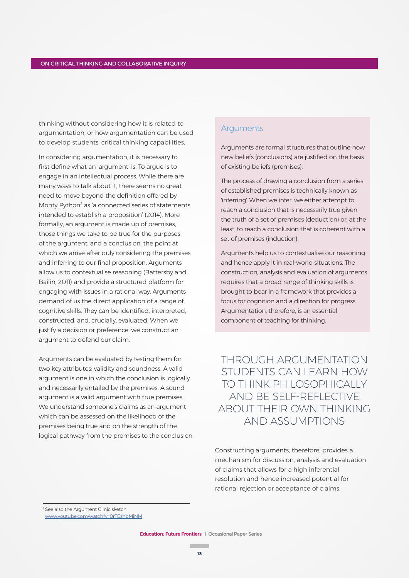thinking without considering how it is related to argumentation, or how argumentation can be used to develop students' critical thinking capabilities.

In considering argumentation, it is necessary to first define what an 'argument' is. To argue is to engage in an intellectual process. While there are many ways to talk about it, there seems no great need to move beyond the definition offered by Monty Python<sup>2</sup> as 'a connected series of statements intended to establish a proposition' (2014). More formally, an argument is made up of premises, those things we take to be true for the purposes of the argument, and a conclusion, the point at which we arrive after duly considering the premises and inferring to our final proposition. Arguments allow us to contextualise reasoning (Battersby and Bailin, 2011) and provide a structured platform for engaging with issues in a rational way. Arguments demand of us the direct application of a range of cognitive skills. They can be identified, interpreted, constructed, and, crucially, evaluated. When we justify a decision or preference, we construct an argument to defend our claim.

Arguments can be evaluated by testing them for two key attributes: validity and soundness. A valid argument is one in which the conclusion is logically and necessarily entailed by the premises. A sound argument is a valid argument with true premises. We understand someone's claims as an argument which can be assessed on the likelihood of the premises being true and on the strength of the logical pathway from the premises to the conclusion.

# **Arguments**

Arguments are formal structures that outline how new beliefs (conclusions) are justified on the basis of existing beliefs (premises).

The process of drawing a conclusion from a series of established premises is technically known as 'inferring'. When we infer, we either attempt to reach a conclusion that is necessarily true given the truth of a set of premises (deduction) or, at the least, to reach a conclusion that is coherent with a set of premises (induction).

Arguments help us to contextualise our reasoning and hence apply it in real-world situations. The construction, analysis and evaluation of arguments requires that a broad range of thinking skills is brought to bear in a framework that provides a focus for cognition and a direction for progress. Argumentation, therefore, is an essential component of teaching for thinking.

THROUGH ARGUMENTATION STUDENTS CAN LEARN HOW TO THINK PHILOSOPHICALLY AND BE SELF-REFLECTIVE ABOUT THEIR OWN THINKING AND ASSUMPTIONS

Constructing arguments, therefore, provides a mechanism for discussion, analysis and evaluation of claims that allows for a high inferential resolution and hence increased potential for rational rejection or acceptance of claims.

<sup>2</sup>See also the Argument Clinic sketch

www.youtube.com/watch?v=0rTEzYbMiNM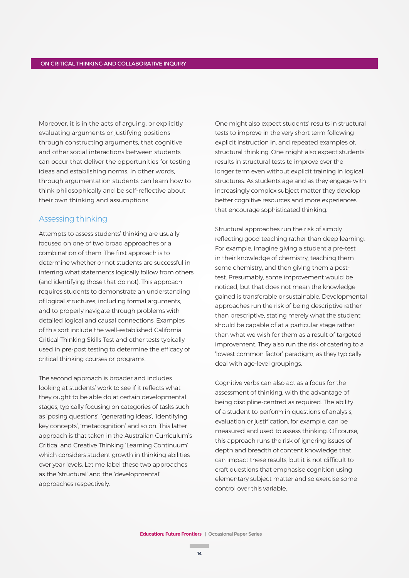Moreover, it is in the acts of arguing, or explicitly evaluating arguments or justifying positions through constructing arguments, that cognitive and other social interactions between students can occur that deliver the opportunities for testing ideas and establishing norms. In other words, through argumentation students can learn how to think philosophically and be self-reflective about their own thinking and assumptions.

## Assessing thinking

Attempts to assess students' thinking are usually focused on one of two broad approaches or a combination of them. The first approach is to determine whether or not students are successful in inferring what statements logically follow from others (and identifying those that do not). This approach requires students to demonstrate an understanding of logical structures, including formal arguments, and to properly navigate through problems with detailed logical and causal connections. Examples of this sort include the well-established California Critical Thinking Skills Test and other tests typically used in pre-post testing to determine the efficacy of critical thinking courses or programs.

The second approach is broader and includes looking at students' work to see if it reflects what they ought to be able do at certain developmental stages, typically focusing on categories of tasks such as 'posing questions', 'generating ideas', 'identifying key concepts', 'metacognition' and so on. This latter approach is that taken in the Australian Curriculum's Critical and Creative Thinking 'Learning Continuum' which considers student growth in thinking abilities over year levels. Let me label these two approaches as the 'structural' and the 'developmental' approaches respectively.

One might also expect students' results in structural tests to improve in the very short term following explicit instruction in, and repeated examples of, structural thinking. One might also expect students' results in structural tests to improve over the longer term even without explicit training in logical structures. As students age and as they engage with increasingly complex subject matter they develop better cognitive resources and more experiences that encourage sophisticated thinking.

Structural approaches run the risk of simply reflecting good teaching rather than deep learning. For example, imagine giving a student a pre-test in their knowledge of chemistry, teaching them some chemistry, and then giving them a posttest. Presumably, some improvement would be noticed, but that does not mean the knowledge gained is transferable or sustainable. Developmental approaches run the risk of being descriptive rather than prescriptive, stating merely what the student should be capable of at a particular stage rather than what we wish for them as a result of targeted improvement. They also run the risk of catering to a 'lowest common factor' paradigm, as they typically deal with age-level groupings.

Cognitive verbs can also act as a focus for the assessment of thinking, with the advantage of being discipline-centred as required. The ability of a student to perform in questions of analysis, evaluation or justification, for example, can be measured and used to assess thinking. Of course, this approach runs the risk of ignoring issues of depth and breadth of content knowledge that can impact these results, but it is not difficult to craft questions that emphasise cognition using elementary subject matter and so exercise some control over this variable.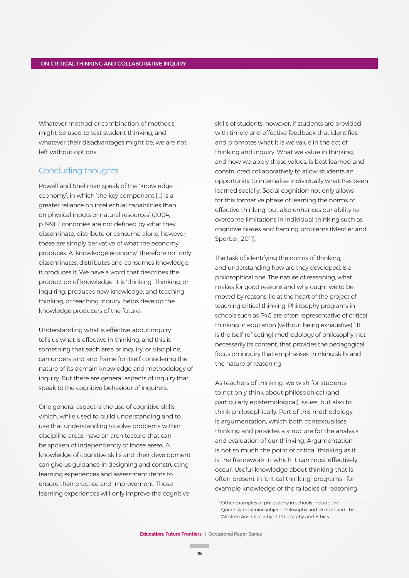Whatever method or combination of methods might be used to test student thinking, and whatever their disadvantages might be, we are not left without options.

## Concluding thoughts

Powell and Snellman speak of the 'knowledge economy', in which 'the key component […] is a greater reliance on intellectual capabilities than on physical inputs or natural resources' (2004, p.199). Economies are not defined by what they disseminate, distribute or consume alone, however; these are simply derivative of what the economy produces. A 'knowledge economy' therefore not only disseminates, distributes and consumes knowledge, it produces it. We have a word that describes the production of knowledge: it is 'thinking'. Thinking, or inquiring, produces new knowledge, and teaching thinking, or teaching inquiry, helps develop the knowledge producers of the future.

Understanding what is effective about inquiry tells us what is effective in thinking, and this is something that each area of inquiry, or discipline, can understand and frame for itself considering the nature of its domain knowledge and methodology of inquiry. But there are general aspects of inquiry that speak to the cognitive behaviour of inquirers.

One general aspect is the use of cognitive skills, which, while used to build understanding and to use that understanding to solve problems within discipline areas, have an architecture that can be spoken of independently of those areas. A knowledge of cognitive skills and their development can give us guidance in designing and constructing learning experiences and assessment items to ensure their practice and improvement. Those learning experiences will only improve the cognitive

skills of students, however, if students are provided with timely and effective feedback that identifies and promotes what it is we value in the act of thinking and inquiry. What we value in thinking, and how we apply those values, is best learned and constructed collaboratively to allow students an opportunity to internalise individually what has been learned socially. Social cognition not only allows for this formative phase of learning the norms of effective thinking, but also enhances our ability to overcome limitations in individual thinking such as cognitive biases and framing problems (Mercier and Sperber, 2011).

The task of identifying the norms of thinking, and understanding how are they developed, is a philosophical one. The nature of reasoning, what makes for good reasons and why ought we to be moved by reasons, lie at the heart of the project of teaching critical thinking. Philosophy programs in schools such as P4C are often representative of critical thinking in education (without being exhaustive).<sup>3</sup> It is the (self-reflecting) methodology of philosophy, not necessarily its content, that provides the pedagogical focus on inquiry that emphasises thinking skills and the nature of reasoning.

As teachers of thinking, we wish for students to not only think about philosophical (and particularly epistemological) issues, but also to think philosophically. Part of this methodology is argumentation, which both contextualises thinking and provides a structure for the analysis and evaluation of our thinking. Argumentation is not so much the point of critical thinking as it is the framework in which it can most effectively occur. Useful knowledge about thinking that is often present in 'critical thinking' programs—for example knowledge of the fallacies of reasoning,

<sup>&</sup>lt;sup>3</sup> Other examples of philosophy in schools include the Queensland senior subject Philosophy and Reason and The Western Australia subject Philosophy and Ethics.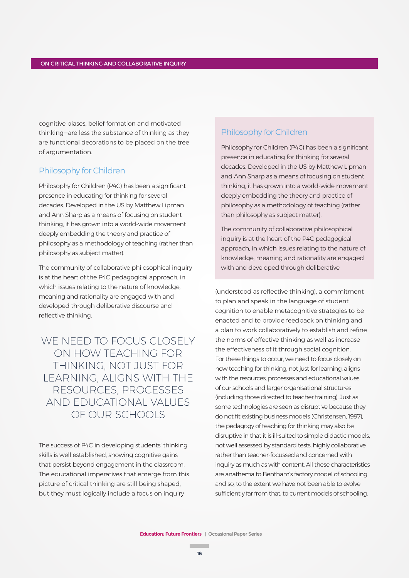cognitive biases, belief formation and motivated thinking—are less the substance of thinking as they are functional decorations to be placed on the tree of argumentation.

# Philosophy for Children

Philosophy for Children (P4C) has been a significant presence in educating for thinking for several decades. Developed in the US by Matthew Lipman and Ann Sharp as a means of focusing on student thinking, it has grown into a world-wide movement deeply embedding the theory and practice of philosophy as a methodology of teaching (rather than philosophy as subject matter).

The community of collaborative philosophical inquiry is at the heart of the P4C pedagogical approach, in which issues relating to the nature of knowledge, meaning and rationality are engaged with and developed through deliberative discourse and reflective thinking.

WE NEED TO FOCUS CLOSELY ON HOW TEACHING FOR THINKING, NOT JUST FOR LEARNING, ALIGNS WITH THE RESOURCES, PROCESSES AND EDUCATIONAL VALUES OF OUR SCHOOLS

The success of P4C in developing students' thinking skills is well established, showing cognitive gains that persist beyond engagement in the classroom. The educational imperatives that emerge from this picture of critical thinking are still being shaped, but they must logically include a focus on inquiry

# Philosophy for Children

Philosophy for Children (P4C) has been a significant presence in educating for thinking for several decades. Developed in the US by Matthew Lipman and Ann Sharp as a means of focusing on student thinking, it has grown into a world-wide movement deeply embedding the theory and practice of philosophy as a methodology of teaching (rather than philosophy as subject matter).

The community of collaborative philosophical inquiry is at the heart of the P4C pedagogical approach, in which issues relating to the nature of knowledge, meaning and rationality are engaged with and developed through deliberative

(understood as reflective thinking), a commitment to plan and speak in the language of student cognition to enable metacognitive strategies to be enacted and to provide feedback on thinking and a plan to work collaboratively to establish and refine the norms of effective thinking as well as increase the effectiveness of it through social cognition. For these things to occur, we need to focus closely on how teaching for thinking, not just for learning, aligns with the resources, processes and educational values of our schools and larger organisational structures (including those directed to teacher training). Just as some technologies are seen as disruptive because they do not fit existing business models (Christensen, 1997), the pedagogy of teaching for thinking may also be disruptive in that it is ill-suited to simple didactic models, not well assessed by standard tests, highly collaborative rather than teacher-focussed and concerned with inquiry as much as with content. All these characteristics are anathema to Bentham's factory model of schooling and so, to the extent we have not been able to evolve sufficiently far from that, to current models of schooling.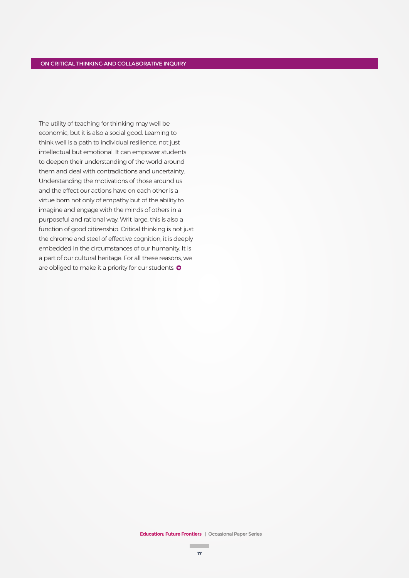The utility of teaching for thinking may well be economic, but it is also a social good. Learning to think well is a path to individual resilience, not just intellectual but emotional. It can empower students to deepen their understanding of the world around them and deal with contradictions and uncertainty. Understanding the motivations of those around us and the effect our actions have on each other is a virtue born not only of empathy but of the ability to imagine and engage with the minds of others in a purposeful and rational way. Writ large, this is also a function of good citizenship. Critical thinking is not just the chrome and steel of effective cognition, it is deeply embedded in the circumstances of our humanity. It is a part of our cultural heritage. For all these reasons, we are obliged to make it a priority for our students.  $\bullet$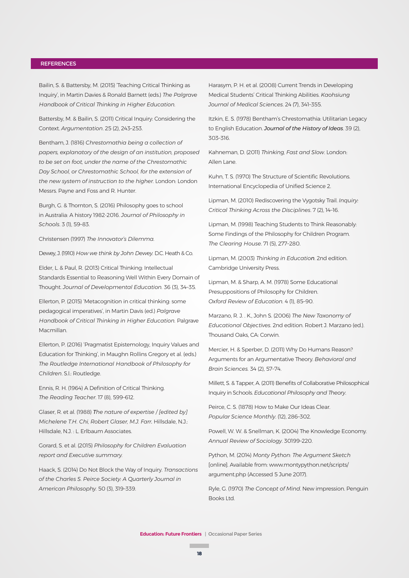#### **REFERENCES**

Bailin, S. & Battersby, M. (2015) 'Teaching Critical Thinking as Inquiry', in Martin Davies & Ronald Barnett (eds.) *The Palgrave Handbook of Critical Thinking in Higher Education.*

Battersby, M. & Bailin, S. (2011) Critical Inquiry: Considering the Context. *Argumentation*. 25 (2), 243–253.

Bentham, J. (1816) *Chrestomathia being a collection of papers, explanatory of the design of an institution, proposed to be set on foot, under the name of the Chrestomathic Day School, or Chrestomathic School, for the extension of the new system of instruction to the higher.* London: London Messrs. Payne and Foss and R. Hunter.

Burgh, G. & Thornton, S. (2016) Philosophy goes to school in Australia: A history 1982-2016. *Journal of Philosophy in Schools*. 3 (1), 59–83.

Christensen (1997) *The Innovator's Dilemma.*

Dewey, J. (1910) *How we think by John Dewey.* D.C. Heath & Co.

Elder, L. & Paul, R. (2013) Critical Thinking: Intellectual Standards Essential to Reasoning Well Within Every Domain of Thought. *Journal of Developmental Education.* 36 (3), 34–35.

Ellerton, P. (2015) 'Metacognition in critical thinking: some pedagogical imperatives', in Martin Davis (ed.) *Palgrave Handbook of Critical Thinking in Higher Education.* Palgrave Macmillan.

Ellerton, P. (2016) 'Pragmatist Epistemology, Inquiry Values and Education for Thinking', in Maughn Rollins Gregory et al. (eds.) *The Routledge International Handbook of Philosophy for Children*. S.l.: Routledge.

Ennis, R. H. (1964) A Definition of Critical Thinking. *The Reading Teacher*. 17 (8), 599–612.

Glaser, R. et al. (1988) *The nature of expertise / [edited by] Michelene T.H. Chi, Robert Glaser, M.J. Farr.* Hillsdale, N.J.: Hillsdale, N.J. : L. Erlbaum Associates.

Gorard, S. et al. (2015) *Philosophy for Children Evaluation report and Executive summary.* 

Haack, S. (2014) Do Not Block the Way of Inquiry. *Transactions of the Charles S. Peirce Society: A Quarterly Journal in American Philosophy.* 50 (3), 319–339.

Harasym, P. H. et al. (2008) Current Trends in Developing Medical Students' Critical Thinking Abilities. *Kaohsiung Journal of Medical Sciences*. 24 (7), 341–355.

Itzkin, E. S. (1978) Bentham's Chrestomathia: Utilitarian Legacy to English Education. *Journal of the History of Ideas*. 39 (2), 303–316.

Kahneman, D. (2011) *Thinking, Fast and Slow*. London: Allen Lane.

Kuhn, T. S. (1970) The Structure of Scientific Revolutions. International Encyclopedia of Unified Science 2.

Lipman, M. (2010) Rediscovering the Vygotsky Trail. *Inquiry: Critical Thinking Across the Disciplines*. 7 (2), 14–16.

Lipman, M. (1998) Teaching Students to Think Reasonably: Some Findings of the Philosophy for Children Program. *The Clearing House*. 71 (5), 277–280.

Lipman, M. (2003) *Thinking in Education*. 2nd edition. Cambridge University Press.

Lipman, M. & Sharp, A. M. (1978) Some Educational Presuppositions of Philosophy for Children. *Oxford Review of Education.* 4 (1), 85–90.

Marzano, R. J. . K., John S. (2006) *The New Taxonomy of Educational Objectives*. 2nd edition. Robert J. Marzano (ed.). Thousand Oaks, CA: Corwin.

Mercier, H. & Sperber, D. (2011) Why Do Humans Reason? Arguments for an Argumentative Theory. *Behavioral and Brain Sciences.* 34 (2), 57–74.

Millett, S. & Tapper, A. (2011) Benefits of Collaborative Philosophical Inquiry in Schools. *Educational Philosophy and Theory*.

Peirce, C. S. (1878) How to Make Our Ideas Clear. *Popular Science Monthly*. (12), 286–302.

Powell, W. W. & Snellman, K. (2004) The Knowledge Economy. *Annual Review of Sociology*. 30199–220.

Python, M. (2014) *Monty Python: The Argument Sketch*  [online]. Available from: www.montypython.net/scripts/ argument.php (Accessed 5 June 2017).

Ryle, G. (1970) *The Concept of Mind*. New impression. Penguin Books Ltd.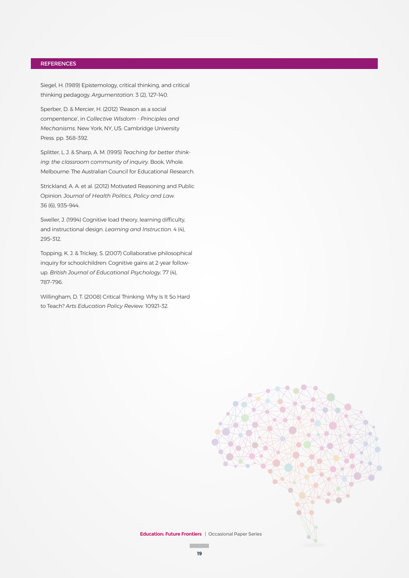#### **REFERENCES**

Siegel, H. (1989) Epistemology, critical thinking, and critical thinking pedagogy. *Argumentation*. 3 (2), 127–140.

Sperber, D. & Mercier, H. (2012) 'Reason as a social compentence', in *Collective Wisdom - Principles and Mechanisms*. New York, NY, US: Cambridge University Press. pp. 368–392.

Splitter, L. J. & Sharp, A. M. (1995) *Teaching for better thinking: the classroom community of inquiry.* Book, Whole. Melbourne: The Australian Council for Educational Research.

Strickland, A. A. et al. (2012) Motivated Reasoning and Public Opinion. *Journal of Health Politics, Policy and Law.*  36 (6), 935–944.

Sweller, J. (1994) Cognitive load theory, learning difficulty, and instructional design. *Learning and Instruction*. 4 (4), 295–312.

Topping, K. J. & Trickey, S. (2007) Collaborative philosophical inquiry for schoolchildren: Cognitive gains at 2-year followup. *British Journal of Educational Psychology.* 77 (4), 787–796.

Willingham, D. T. (2008) Critical Thinking: Why Is It So Hard to Teach? *Arts Education Policy Review.* 10921–32.



**The Co**